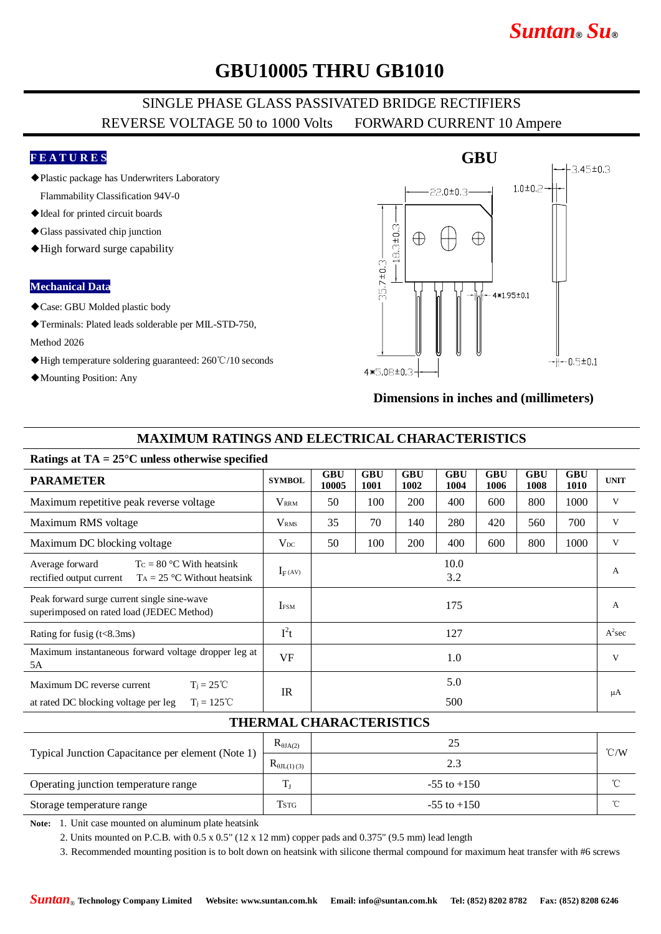# *Suntan***®** *Su***®**

## **GBU10005 THRU GB1010**

### SINGLE PHASE GLASS PASSIVATED BRIDGE RECTIFIERS REVERSE VOLTAGE 50 to 1000 Volts FORWARD CURRENT 10 Ampere

### **F E A T U R E S**

- ◆Plastic package has Underwriters Laboratory Flammability Classification 94V-0
- ◆Ideal for printed circuit boards
- ◆Glass passivated chip junction
- ◆High forward surge capability

#### **Mechanical Data**

- ◆Case: GBU Molded plastic body
- ◆Terminals: Plated leads solderable per MIL-STD-750,

#### Method 2026

- ◆High temperature soldering guaranteed: 260℃/10 seconds
- ◆Mounting Position: Any

### **GBU**  $-3.45 \pm 0.3$  $1.0 + 0.2$  $-22.0 \pm 0.3$  $-18.3 + 0.3$ Æ Æ  $35.7 \pm 0.3 -$ 4\*1.95±0.1  $-1 - 0.5 \pm 0.1$  $4*5.08 \pm 0.3 -$

#### **Dimensions in inches and (millimeters)**

### **MAXIMUM RATINGS AND ELECTRICAL CHARACTERISTICS**

#### **Ratings at TA = 25°C unless otherwise specified**

| <b>PARAMETER</b>                                                                                             | <b>SYMBOL</b>           | <b>GBU</b><br>10005 | <b>GBU</b><br><b>1001</b> | <b>GBU</b><br>1002 | <b>GBU</b><br>1004 | <b>GBU</b><br>1006 | <b>GBU</b><br>1008 | <b>GBU</b><br><b>1010</b> | <b>UNIT</b>  |
|--------------------------------------------------------------------------------------------------------------|-------------------------|---------------------|---------------------------|--------------------|--------------------|--------------------|--------------------|---------------------------|--------------|
| Maximum repetitive peak reverse voltage                                                                      | $V_{\rm RRM}$           | 50                  | 100                       | 200                | 400                | 600                | 800                | 1000                      | V            |
| Maximum RMS voltage                                                                                          | <b>V</b> <sub>RMS</sub> | 35                  | 70                        | 140                | 280                | 420                | 560                | 700                       | V            |
| Maximum DC blocking voltage                                                                                  | $V_{DC}$                | 50                  | 100                       | 200                | 400                | 600                | 800                | 1000                      | V            |
| Average forward<br>$T_c = 80$ °C With heatsink<br>rectified output current<br>$T_A = 25$ °C Without heatsink | $I_F(AV)$               |                     |                           |                    | 10.0<br>3.2        |                    |                    |                           | A            |
| Peak forward surge current single sine-wave<br>superimposed on rated load (JEDEC Method)                     | <b>IFSM</b>             |                     |                           |                    | 175                |                    |                    |                           | $\mathbf{A}$ |
| Rating for fusig $(t<8.3ms)$                                                                                 | $I^2t$                  |                     |                           |                    | 127                |                    |                    |                           | $A^2$ sec    |
| Maximum instantaneous forward voltage dropper leg at<br>5A                                                   | VF                      |                     |                           |                    | 1.0                |                    |                    |                           | V            |
| Maximum DC reverse current<br>$T_i = 25^{\circ}C$                                                            | <b>IR</b>               | 5.0                 |                           |                    |                    |                    |                    |                           | μA           |
| $T_i = 125^{\circ}C$<br>at rated DC blocking voltage per leg                                                 |                         |                     |                           |                    | 500                |                    |                    |                           |              |

#### **THERMAL CHARACTERISTICS**

| Typical Junction Capacitance per element (Note 1) | $R_{\theta J A(2)}$   | 25              | $\degree$ C/W |
|---------------------------------------------------|-----------------------|-----------------|---------------|
|                                                   | $R_{\theta JL(1)(3)}$ | 2.3             |               |
| Operating junction temperature range              | $\mathbf{T}$          | $-55$ to $+150$ | $\sim$        |
| Storage temperature range                         | Tstg                  | $-55$ to $+150$ | ∽             |

**Note:** 1. Unit case mounted on aluminum plate heatsink

2. Units mounted on P.C.B. with  $0.5 \times 0.5$ " ( $12 \times 12$  mm) copper pads and  $0.375$ " ( $9.5$  mm) lead length

3. Recommended mounting position is to bolt down on heatsink with silicone thermal compound for maximum heat transfer with #6 screws